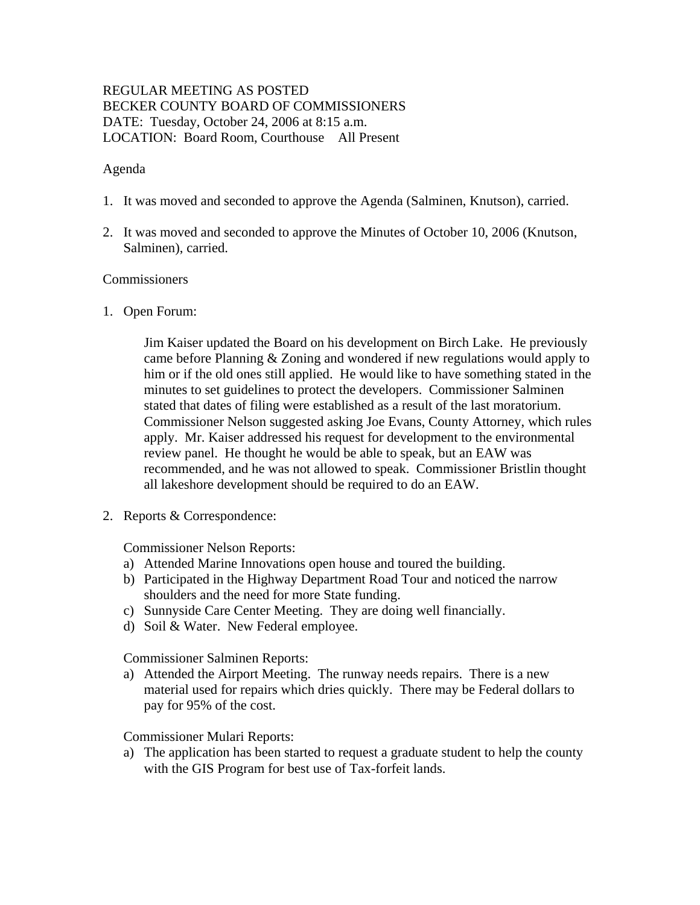# REGULAR MEETING AS POSTED BECKER COUNTY BOARD OF COMMISSIONERS DATE: Tuesday, October 24, 2006 at 8:15 a.m. LOCATION: Board Room, Courthouse All Present

# Agenda

- 1. It was moved and seconded to approve the Agenda (Salminen, Knutson), carried.
- 2. It was moved and seconded to approve the Minutes of October 10, 2006 (Knutson, Salminen), carried.

#### Commissioners

1. Open Forum:

Jim Kaiser updated the Board on his development on Birch Lake. He previously came before Planning & Zoning and wondered if new regulations would apply to him or if the old ones still applied. He would like to have something stated in the minutes to set guidelines to protect the developers. Commissioner Salminen stated that dates of filing were established as a result of the last moratorium. Commissioner Nelson suggested asking Joe Evans, County Attorney, which rules apply. Mr. Kaiser addressed his request for development to the environmental review panel. He thought he would be able to speak, but an EAW was recommended, and he was not allowed to speak. Commissioner Bristlin thought all lakeshore development should be required to do an EAW.

2. Reports & Correspondence:

Commissioner Nelson Reports:

- a) Attended Marine Innovations open house and toured the building.
- b) Participated in the Highway Department Road Tour and noticed the narrow shoulders and the need for more State funding.
- c) Sunnyside Care Center Meeting. They are doing well financially.
- d) Soil & Water. New Federal employee.

Commissioner Salminen Reports:

a) Attended the Airport Meeting. The runway needs repairs. There is a new material used for repairs which dries quickly. There may be Federal dollars to pay for 95% of the cost.

Commissioner Mulari Reports:

a) The application has been started to request a graduate student to help the county with the GIS Program for best use of Tax-forfeit lands.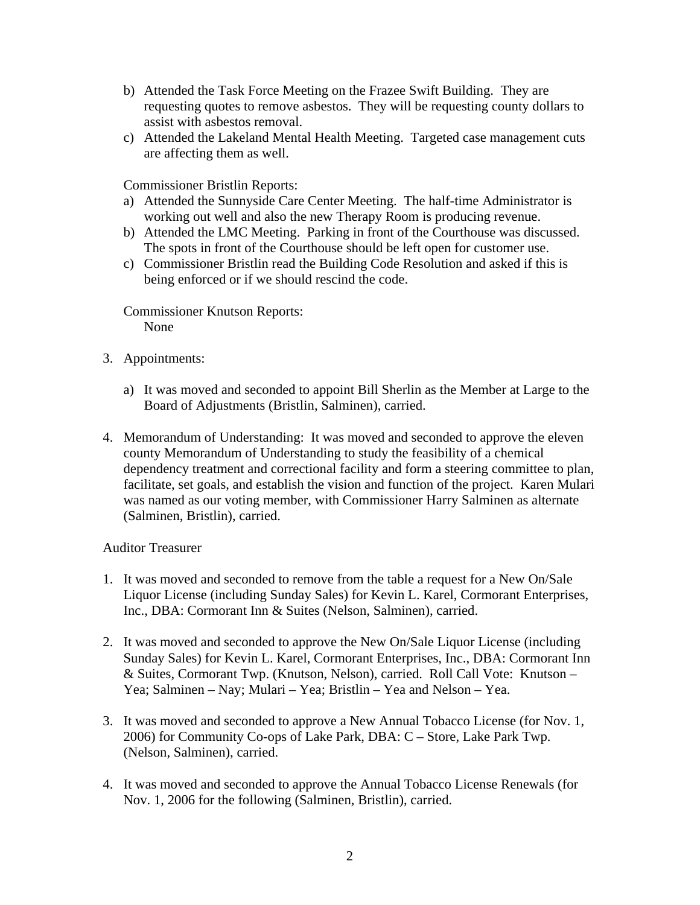- b) Attended the Task Force Meeting on the Frazee Swift Building. They are requesting quotes to remove asbestos. They will be requesting county dollars to assist with asbestos removal.
- c) Attended the Lakeland Mental Health Meeting. Targeted case management cuts are affecting them as well.

Commissioner Bristlin Reports:

- a) Attended the Sunnyside Care Center Meeting. The half-time Administrator is working out well and also the new Therapy Room is producing revenue.
- b) Attended the LMC Meeting. Parking in front of the Courthouse was discussed. The spots in front of the Courthouse should be left open for customer use.
- c) Commissioner Bristlin read the Building Code Resolution and asked if this is being enforced or if we should rescind the code.

Commissioner Knutson Reports: None

- 3. Appointments:
	- a) It was moved and seconded to appoint Bill Sherlin as the Member at Large to the Board of Adjustments (Bristlin, Salminen), carried.
- 4. Memorandum of Understanding: It was moved and seconded to approve the eleven county Memorandum of Understanding to study the feasibility of a chemical dependency treatment and correctional facility and form a steering committee to plan, facilitate, set goals, and establish the vision and function of the project. Karen Mulari was named as our voting member, with Commissioner Harry Salminen as alternate (Salminen, Bristlin), carried.

#### Auditor Treasurer

- 1. It was moved and seconded to remove from the table a request for a New On/Sale Liquor License (including Sunday Sales) for Kevin L. Karel, Cormorant Enterprises, Inc., DBA: Cormorant Inn & Suites (Nelson, Salminen), carried.
- 2. It was moved and seconded to approve the New On/Sale Liquor License (including Sunday Sales) for Kevin L. Karel, Cormorant Enterprises, Inc., DBA: Cormorant Inn & Suites, Cormorant Twp. (Knutson, Nelson), carried. Roll Call Vote: Knutson – Yea; Salminen – Nay; Mulari – Yea; Bristlin – Yea and Nelson – Yea.
- 3. It was moved and seconded to approve a New Annual Tobacco License (for Nov. 1, 2006) for Community Co-ops of Lake Park, DBA: C – Store, Lake Park Twp. (Nelson, Salminen), carried.
- 4. It was moved and seconded to approve the Annual Tobacco License Renewals (for Nov. 1, 2006 for the following (Salminen, Bristlin), carried.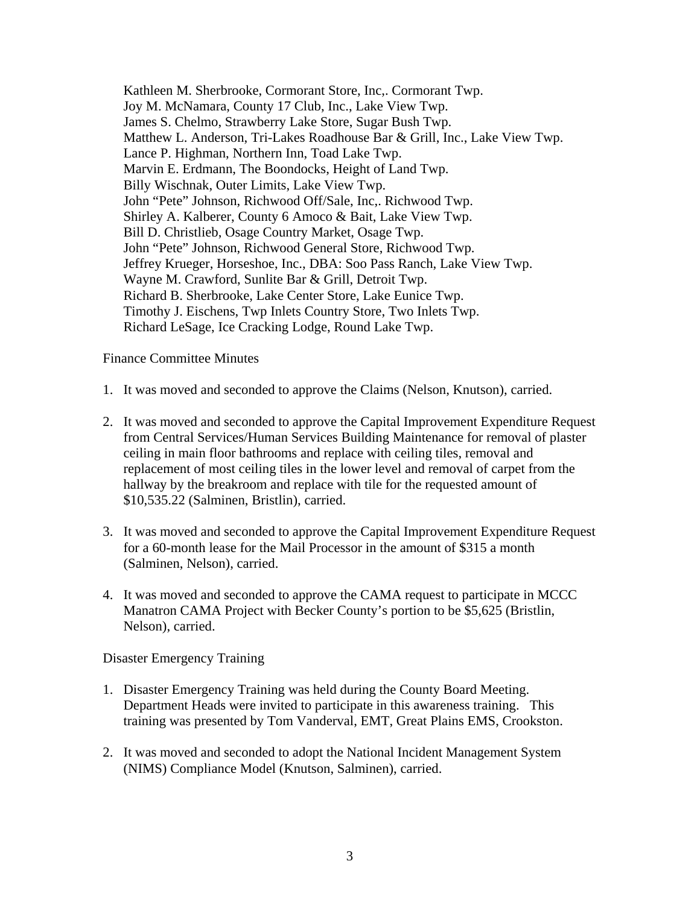Kathleen M. Sherbrooke, Cormorant Store, Inc,. Cormorant Twp. Joy M. McNamara, County 17 Club, Inc., Lake View Twp. James S. Chelmo, Strawberry Lake Store, Sugar Bush Twp. Matthew L. Anderson, Tri-Lakes Roadhouse Bar & Grill, Inc., Lake View Twp. Lance P. Highman, Northern Inn, Toad Lake Twp. Marvin E. Erdmann, The Boondocks, Height of Land Twp. Billy Wischnak, Outer Limits, Lake View Twp. John "Pete" Johnson, Richwood Off/Sale, Inc,. Richwood Twp. Shirley A. Kalberer, County 6 Amoco & Bait, Lake View Twp. Bill D. Christlieb, Osage Country Market, Osage Twp. John "Pete" Johnson, Richwood General Store, Richwood Twp. Jeffrey Krueger, Horseshoe, Inc., DBA: Soo Pass Ranch, Lake View Twp. Wayne M. Crawford, Sunlite Bar & Grill, Detroit Twp. Richard B. Sherbrooke, Lake Center Store, Lake Eunice Twp. Timothy J. Eischens, Twp Inlets Country Store, Two Inlets Twp. Richard LeSage, Ice Cracking Lodge, Round Lake Twp.

Finance Committee Minutes

- 1. It was moved and seconded to approve the Claims (Nelson, Knutson), carried.
- 2. It was moved and seconded to approve the Capital Improvement Expenditure Request from Central Services/Human Services Building Maintenance for removal of plaster ceiling in main floor bathrooms and replace with ceiling tiles, removal and replacement of most ceiling tiles in the lower level and removal of carpet from the hallway by the breakroom and replace with tile for the requested amount of \$10,535.22 (Salminen, Bristlin), carried.
- 3. It was moved and seconded to approve the Capital Improvement Expenditure Request for a 60-month lease for the Mail Processor in the amount of \$315 a month (Salminen, Nelson), carried.
- 4. It was moved and seconded to approve the CAMA request to participate in MCCC Manatron CAMA Project with Becker County's portion to be \$5,625 (Bristlin, Nelson), carried.

Disaster Emergency Training

- 1. Disaster Emergency Training was held during the County Board Meeting. Department Heads were invited to participate in this awareness training. This training was presented by Tom Vanderval, EMT, Great Plains EMS, Crookston.
- 2. It was moved and seconded to adopt the National Incident Management System (NIMS) Compliance Model (Knutson, Salminen), carried.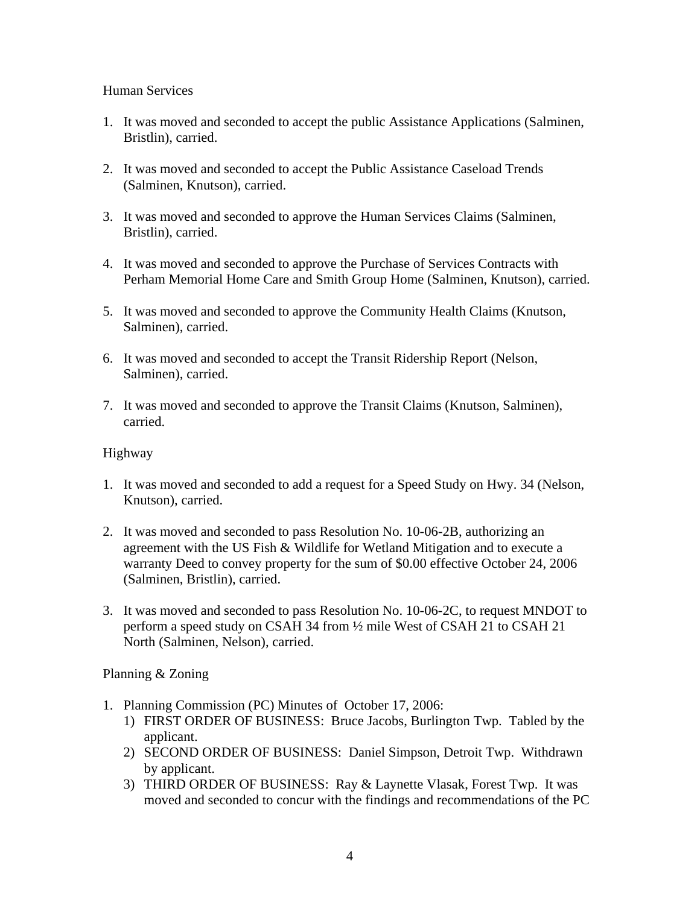# Human Services

- 1. It was moved and seconded to accept the public Assistance Applications (Salminen, Bristlin), carried.
- 2. It was moved and seconded to accept the Public Assistance Caseload Trends (Salminen, Knutson), carried.
- 3. It was moved and seconded to approve the Human Services Claims (Salminen, Bristlin), carried.
- 4. It was moved and seconded to approve the Purchase of Services Contracts with Perham Memorial Home Care and Smith Group Home (Salminen, Knutson), carried.
- 5. It was moved and seconded to approve the Community Health Claims (Knutson, Salminen), carried.
- 6. It was moved and seconded to accept the Transit Ridership Report (Nelson, Salminen), carried.
- 7. It was moved and seconded to approve the Transit Claims (Knutson, Salminen), carried.

# Highway

- 1. It was moved and seconded to add a request for a Speed Study on Hwy. 34 (Nelson, Knutson), carried.
- 2. It was moved and seconded to pass Resolution No. 10-06-2B, authorizing an agreement with the US Fish & Wildlife for Wetland Mitigation and to execute a warranty Deed to convey property for the sum of \$0.00 effective October 24, 2006 (Salminen, Bristlin), carried.
- 3. It was moved and seconded to pass Resolution No. 10-06-2C, to request MNDOT to perform a speed study on CSAH 34 from ½ mile West of CSAH 21 to CSAH 21 North (Salminen, Nelson), carried.

#### Planning & Zoning

- 1. Planning Commission (PC) Minutes of October 17, 2006:
	- 1) FIRST ORDER OF BUSINESS: Bruce Jacobs, Burlington Twp. Tabled by the applicant.
	- 2) SECOND ORDER OF BUSINESS: Daniel Simpson, Detroit Twp. Withdrawn by applicant.
	- 3) THIRD ORDER OF BUSINESS: Ray & Laynette Vlasak, Forest Twp. It was moved and seconded to concur with the findings and recommendations of the PC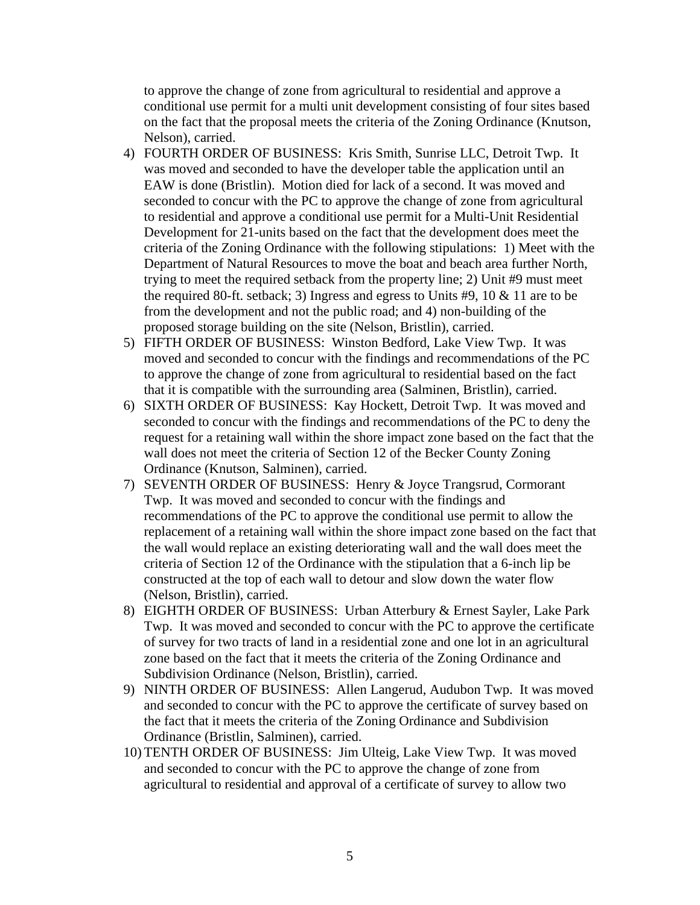to approve the change of zone from agricultural to residential and approve a conditional use permit for a multi unit development consisting of four sites based on the fact that the proposal meets the criteria of the Zoning Ordinance (Knutson, Nelson), carried.

- 4) FOURTH ORDER OF BUSINESS: Kris Smith, Sunrise LLC, Detroit Twp. It was moved and seconded to have the developer table the application until an EAW is done (Bristlin). Motion died for lack of a second. It was moved and seconded to concur with the PC to approve the change of zone from agricultural to residential and approve a conditional use permit for a Multi-Unit Residential Development for 21-units based on the fact that the development does meet the criteria of the Zoning Ordinance with the following stipulations: 1) Meet with the Department of Natural Resources to move the boat and beach area further North, trying to meet the required setback from the property line; 2) Unit #9 must meet the required 80-ft. setback; 3) Ingress and egress to Units  $#9$ , 10  $\&$  11 are to be from the development and not the public road; and 4) non-building of the proposed storage building on the site (Nelson, Bristlin), carried.
- 5) FIFTH ORDER OF BUSINESS: Winston Bedford, Lake View Twp. It was moved and seconded to concur with the findings and recommendations of the PC to approve the change of zone from agricultural to residential based on the fact that it is compatible with the surrounding area (Salminen, Bristlin), carried.
- 6) SIXTH ORDER OF BUSINESS: Kay Hockett, Detroit Twp. It was moved and seconded to concur with the findings and recommendations of the PC to deny the request for a retaining wall within the shore impact zone based on the fact that the wall does not meet the criteria of Section 12 of the Becker County Zoning Ordinance (Knutson, Salminen), carried.
- 7) SEVENTH ORDER OF BUSINESS: Henry & Joyce Trangsrud, Cormorant Twp. It was moved and seconded to concur with the findings and recommendations of the PC to approve the conditional use permit to allow the replacement of a retaining wall within the shore impact zone based on the fact that the wall would replace an existing deteriorating wall and the wall does meet the criteria of Section 12 of the Ordinance with the stipulation that a 6-inch lip be constructed at the top of each wall to detour and slow down the water flow (Nelson, Bristlin), carried.
- 8) EIGHTH ORDER OF BUSINESS: Urban Atterbury & Ernest Sayler, Lake Park Twp. It was moved and seconded to concur with the PC to approve the certificate of survey for two tracts of land in a residential zone and one lot in an agricultural zone based on the fact that it meets the criteria of the Zoning Ordinance and Subdivision Ordinance (Nelson, Bristlin), carried.
- 9) NINTH ORDER OF BUSINESS: Allen Langerud, Audubon Twp. It was moved and seconded to concur with the PC to approve the certificate of survey based on the fact that it meets the criteria of the Zoning Ordinance and Subdivision Ordinance (Bristlin, Salminen), carried.
- 10) TENTH ORDER OF BUSINESS: Jim Ulteig, Lake View Twp. It was moved and seconded to concur with the PC to approve the change of zone from agricultural to residential and approval of a certificate of survey to allow two